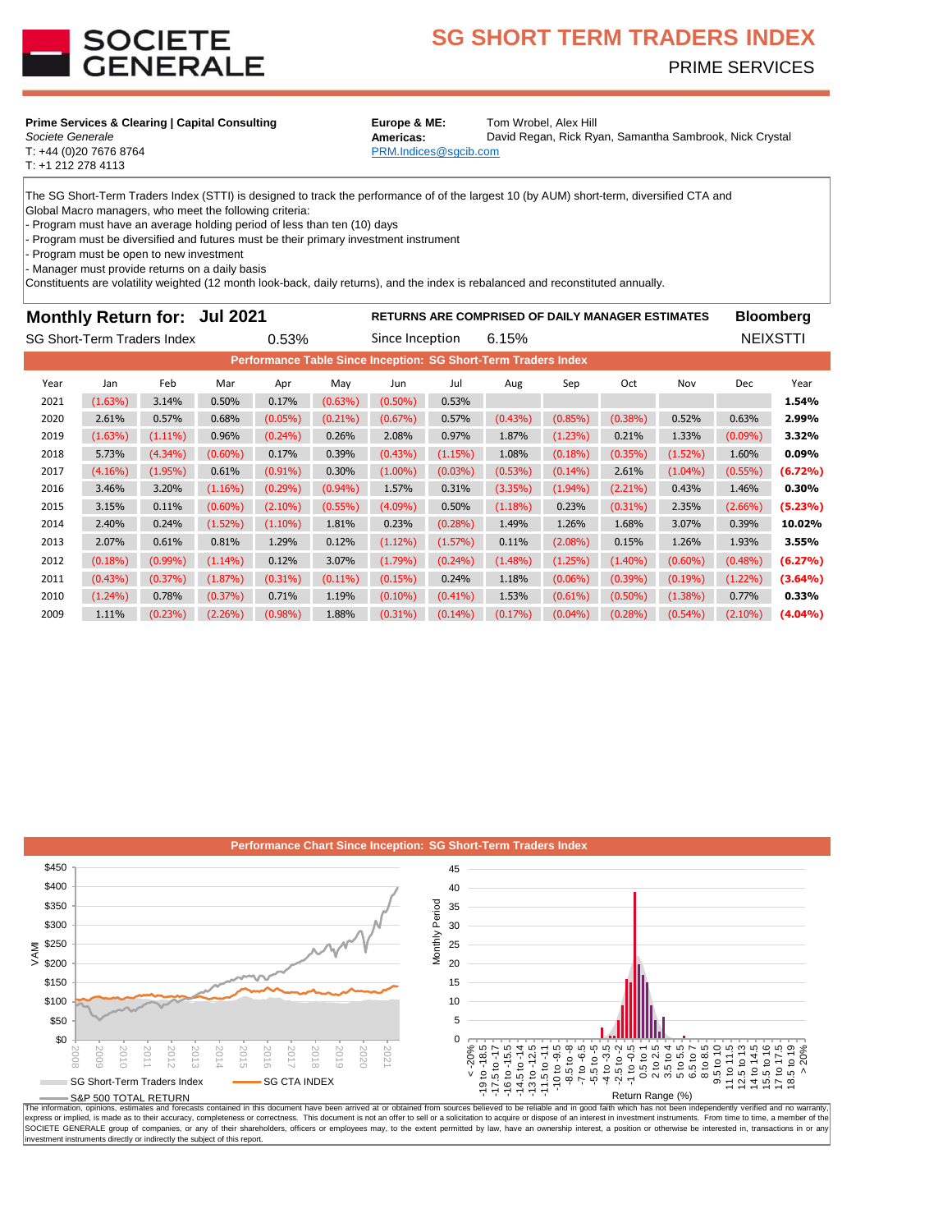

# **SG SHORT TERM TRADERS INDEX** PRIME SERVICES

#### **Prime Services & Clearing | Capital Consulting Europe & ME:** Tom Wrobel, Alex Hill

**Societe Generale Americas:** 

T: +1 212 278 4113

David Regan, Rick Ryan, Samantha Sambrook, Nick Crystal

T: +44 (0)20 7676 8764 **PRM.Indices** @sgcib.com

The SG Short-Term Traders Index (STTI) is designed to track the performance of of the largest 10 (by AUM) short-term, diversified CTA and

Global Macro managers, who meet the following criteria:

- Program must have an average holding period of less than ten (10) days

Program must be diversified and futures must be their primary investment instrument

Program must be open to new investment

- Manager must provide returns on a daily basis

Constituents are volatility weighted (12 month look-back, daily returns), and the index is rebalanced and reconstituted annually.

## **Monthly Return for: Jul 2021 Bull 2021 RETURNS ARE COMPRISED OF DAILY MANAGER ESTIMATES Bloomberg**

| SG Short-Term Traders Index                                           |            |            |            | 0.53%      |            | Since Inception |            | 6.15%      |            |            |            | <b>NEIXSTTI</b> |            |
|-----------------------------------------------------------------------|------------|------------|------------|------------|------------|-----------------|------------|------------|------------|------------|------------|-----------------|------------|
| <b>Performance Table Since Inception: SG Short-Term Traders Index</b> |            |            |            |            |            |                 |            |            |            |            |            |                 |            |
| Year                                                                  | Jan        | Feb        | Mar        | Apr        | May        | Jun             | Jul        | Aug        | Sep        | Oct        | Nov        | <b>Dec</b>      | Year       |
| 2021                                                                  | (1.63%)    | 3.14%      | 0.50%      | 0.17%      | $(0.63\%)$ | $(0.50\%)$      | 0.53%      |            |            |            |            |                 | 1.54%      |
| 2020                                                                  | 2.61%      | 0.57%      | 0.68%      | $(0.05\%)$ | $(0.21\%)$ | $(0.67\%)$      | 0.57%      | $(0.43\%)$ | $(0.85\%)$ | $(0.38\%)$ | 0.52%      | 0.63%           | 2.99%      |
| 2019                                                                  | (1.63%)    | $(1.11\%)$ | 0.96%      | $(0.24\%)$ | 0.26%      | 2.08%           | 0.97%      | 1.87%      | (1.23%)    | 0.21%      | 1.33%      | $(0.09\%)$      | 3.32%      |
| 2018                                                                  | 5.73%      | $(4.34\%)$ | $(0.60\%)$ | 0.17%      | 0.39%      | $(0.43\%)$      | (1.15%)    | 1.08%      | $(0.18\%)$ | $(0.35\%)$ | $(1.52\%)$ | 1.60%           | 0.09%      |
| 2017                                                                  | $(4.16\%)$ | $(1.95\%)$ | 0.61%      | $(0.91\%)$ | 0.30%      | $(1.00\%)$      | $(0.03\%)$ | $(0.53\%)$ | $(0.14\%)$ | 2.61%      | $(1.04\%)$ | $(0.55\%)$      | $(6.72\%)$ |
| 2016                                                                  | 3.46%      | 3.20%      | $(1.16\%)$ | $(0.29\%)$ | $(0.94\%)$ | 1.57%           | 0.31%      | $(3.35\%)$ | $(1.94\%)$ | $(2.21\%)$ | 0.43%      | 1.46%           | 0.30%      |
| 2015                                                                  | 3.15%      | 0.11%      | $(0.60\%)$ | $(2.10\%)$ | $(0.55\%)$ | $(4.09\%)$      | 0.50%      | $(1.18\%)$ | 0.23%      | $(0.31\%)$ | 2.35%      | $(2.66\%)$      | $(5.23\%)$ |
| 2014                                                                  | 2.40%      | 0.24%      | $(1.52\%)$ | $(1.10\%)$ | 1.81%      | 0.23%           | $(0.28\%)$ | 1.49%      | 1.26%      | 1.68%      | 3.07%      | 0.39%           | 10.02%     |
| 2013                                                                  | 2.07%      | 0.61%      | 0.81%      | 1.29%      | 0.12%      | $(1.12\%)$      | $(1.57\%)$ | 0.11%      | $(2.08\%)$ | 0.15%      | 1.26%      | 1.93%           | 3.55%      |
| 2012                                                                  | $(0.18\%)$ | $(0.99\%)$ | $(1.14\%)$ | 0.12%      | 3.07%      | $(1.79\%)$      | $(0.24\%)$ | $(1.48\%)$ | (1.25%)    | $(1.40\%)$ | $(0.60\%)$ | $(0.48\%)$      | (6.27%)    |
| 2011                                                                  | $(0.43\%)$ | $(0.37\%)$ | (1.87%)    | $(0.31\%)$ | $(0.11\%)$ | (0.15%)         | 0.24%      | 1.18%      | $(0.06\%)$ | $(0.39\%)$ | $(0.19\%)$ | $(1.22\%)$      | $(3.64\%)$ |
| 2010                                                                  | $(1.24\%)$ | 0.78%      | (0.37%)    | 0.71%      | 1.19%      | $(0.10\%)$      | $(0.41\%)$ | 1.53%      | $(0.61\%)$ | $(0.50\%)$ | $(1.38\%)$ | 0.77%           | 0.33%      |
| 2009                                                                  | 1.11%      | $(0.23\%)$ | (2.26%)    | $(0.98\%)$ | 1.88%      | $(0.31\%)$      | $(0.14\%)$ | $(0.17\%)$ | $(0.04\%)$ | $(0.28\%)$ | $(0.54\%)$ | $(2.10\%)$      | $(4.04\%)$ |



The information, opinions, estimates and otercasts contained in this occurrent may even almost a construct a constant and the state of the state and interest in investment instruments. From time to thing a member of the st SOCIETE GENERALE group of companies, or any of their shareholders, officers or employees may, to the extent permitted by law, have an ownership interest, a position or otherwise be interested in, transactions in or an investment instruments directly or indirectly the subject of this report.